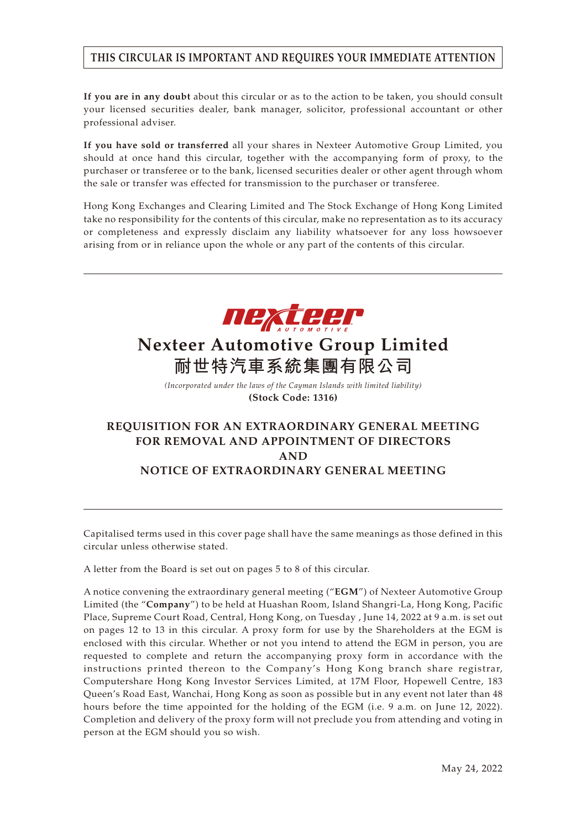# **THIS CIRCULAR IS IMPORTANT AND REQUIRES YOUR IMMEDIATE ATTENTION**

**If you are in any doubt** about this circular or as to the action to be taken, you should consult your licensed securities dealer, bank manager, solicitor, professional accountant or other professional adviser.

**If you have sold or transferred** all your shares in Nexteer Automotive Group Limited, you should at once hand this circular, together with the accompanying form of proxy, to the purchaser or transferee or to the bank, licensed securities dealer or other agent through whom the sale or transfer was effected for transmission to the purchaser or transferee.

Hong Kong Exchanges and Clearing Limited and The Stock Exchange of Hong Kong Limited take no responsibility for the contents of this circular, make no representation as to its accuracy or completeness and expressly disclaim any liability whatsoever for any loss howsoever arising from or in reliance upon the whole or any part of the contents of this circular.



# **Nexteer Automotive Group Limited 耐世特汽車系統集團有限公司**

*(Incorporated under the laws of the Cayman Islands with limited liability)* **(Stock Code: 1316)**

# **REQUISITION FOR AN EXTRAORDINARY GENERAL MEETING FOR REMOVAL AND APPOINTMENT OF DIRECTORS AND NOTICE OF EXTRAORDINARY GENERAL MEETING**

Capitalised terms used in this cover page shall have the same meanings as those defined in this circular unless otherwise stated.

A letter from the Board is set out on pages 5 to 8 of this circular.

A notice convening the extraordinary general meeting ("**EGM**") of Nexteer Automotive Group Limited (the "**Company**") to be held at Huashan Room, Island Shangri-La, Hong Kong, Pacific Place, Supreme Court Road, Central, Hong Kong, on Tuesday , June 14, 2022 at 9 a.m. is set out on pages 12 to 13 in this circular. A proxy form for use by the Shareholders at the EGM is enclosed with this circular. Whether or not you intend to attend the EGM in person, you are requested to complete and return the accompanying proxy form in accordance with the instructions printed thereon to the Company's Hong Kong branch share registrar, Computershare Hong Kong Investor Services Limited, at 17M Floor, Hopewell Centre, 183 Queen's Road East, Wanchai, Hong Kong as soon as possible but in any event not later than 48 hours before the time appointed for the holding of the EGM (i.e. 9 a.m. on June 12, 2022). Completion and delivery of the proxy form will not preclude you from attending and voting in person at the EGM should you so wish.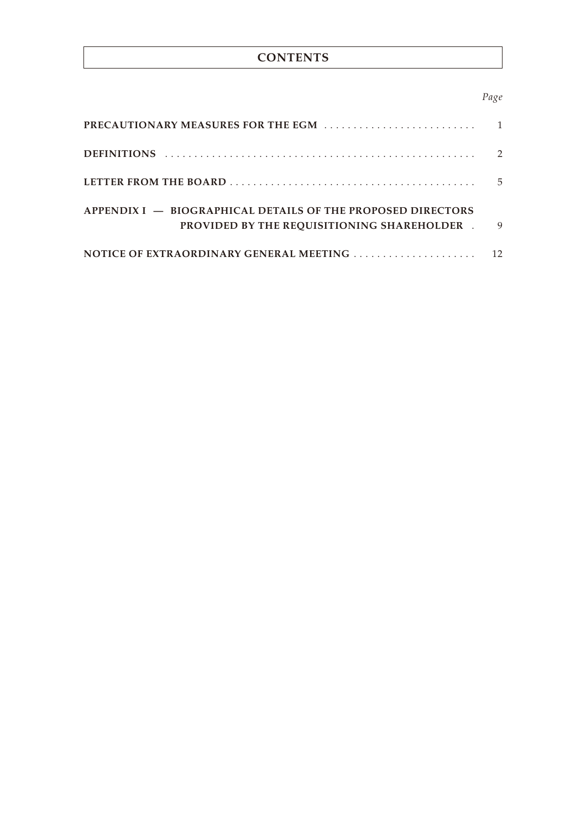# **CONTENTS**

## *Page*

|                                                                                                              | $\mathcal{P}$  |
|--------------------------------------------------------------------------------------------------------------|----------------|
|                                                                                                              | .5             |
| $APPENDIX I = BIOGRAPHICAL DETAILS OF THE PROPOSED DIRECTORS$<br>PROVIDED BY THE REQUISITIONING SHAREHOLDER. | $\overline{9}$ |
|                                                                                                              |                |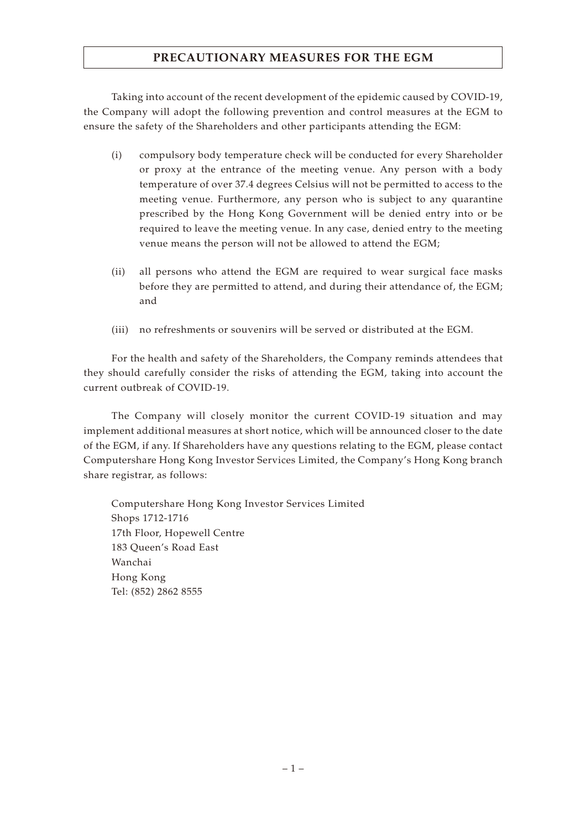## **PRECAUTIONARY MEASURES FOR THE EGM**

Taking into account of the recent development of the epidemic caused by COVID-19, the Company will adopt the following prevention and control measures at the EGM to ensure the safety of the Shareholders and other participants attending the EGM:

- (i) compulsory body temperature check will be conducted for every Shareholder or proxy at the entrance of the meeting venue. Any person with a body temperature of over 37.4 degrees Celsius will not be permitted to access to the meeting venue. Furthermore, any person who is subject to any quarantine prescribed by the Hong Kong Government will be denied entry into or be required to leave the meeting venue. In any case, denied entry to the meeting venue means the person will not be allowed to attend the EGM;
- (ii) all persons who attend the EGM are required to wear surgical face masks before they are permitted to attend, and during their attendance of, the EGM; and
- (iii) no refreshments or souvenirs will be served or distributed at the EGM.

For the health and safety of the Shareholders, the Company reminds attendees that they should carefully consider the risks of attending the EGM, taking into account the current outbreak of COVID-19.

The Company will closely monitor the current COVID-19 situation and may implement additional measures at short notice, which will be announced closer to the date of the EGM, if any. If Shareholders have any questions relating to the EGM, please contact Computershare Hong Kong Investor Services Limited, the Company's Hong Kong branch share registrar, as follows:

Computershare Hong Kong Investor Services Limited Shops 1712-1716 17th Floor, Hopewell Centre 183 Queen's Road East Wanchai Hong Kong Tel: (852) 2862 8555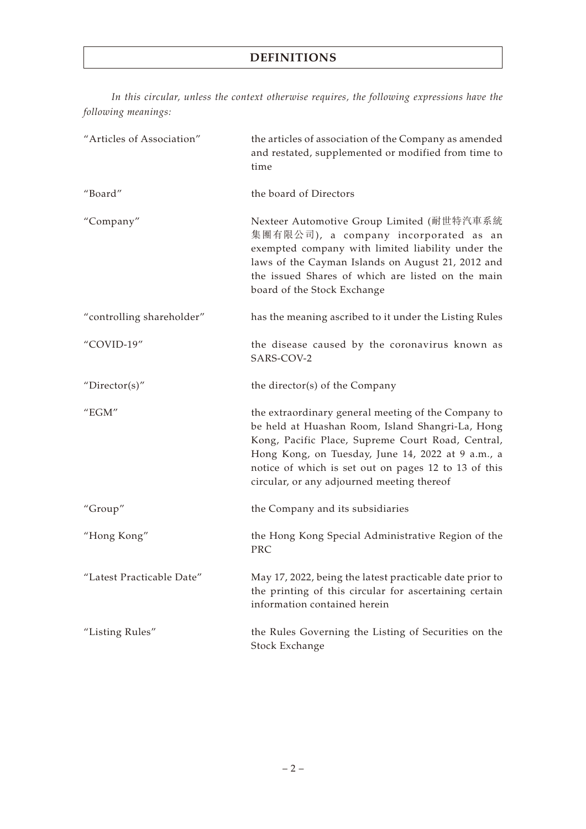# **DEFINITIONS**

*In this circular, unless the context otherwise requires, the following expressions have the following meanings:*

| "Articles of Association" | the articles of association of the Company as amended<br>and restated, supplemented or modified from time to<br>time                                                                                                                                                                                                    |
|---------------------------|-------------------------------------------------------------------------------------------------------------------------------------------------------------------------------------------------------------------------------------------------------------------------------------------------------------------------|
| "Board"                   | the board of Directors                                                                                                                                                                                                                                                                                                  |
| "Company"                 | Nexteer Automotive Group Limited (耐世特汽車系統<br>集團有限公司), a company incorporated as an<br>exempted company with limited liability under the<br>laws of the Cayman Islands on August 21, 2012 and<br>the issued Shares of which are listed on the main<br>board of the Stock Exchange                                        |
| "controlling shareholder" | has the meaning ascribed to it under the Listing Rules                                                                                                                                                                                                                                                                  |
| "COVID-19"                | the disease caused by the coronavirus known as<br>SARS-COV-2                                                                                                                                                                                                                                                            |
| "Director(s)"             | the director(s) of the Company                                                                                                                                                                                                                                                                                          |
| "EGM"                     | the extraordinary general meeting of the Company to<br>be held at Huashan Room, Island Shangri-La, Hong<br>Kong, Pacific Place, Supreme Court Road, Central,<br>Hong Kong, on Tuesday, June 14, 2022 at 9 a.m., a<br>notice of which is set out on pages 12 to 13 of this<br>circular, or any adjourned meeting thereof |
| "Group"                   | the Company and its subsidiaries                                                                                                                                                                                                                                                                                        |
| "Hong Kong"               | the Hong Kong Special Administrative Region of the<br>PRC                                                                                                                                                                                                                                                               |
| "Latest Practicable Date" | May 17, 2022, being the latest practicable date prior to<br>the printing of this circular for ascertaining certain<br>information contained herein                                                                                                                                                                      |
| "Listing Rules"           | the Rules Governing the Listing of Securities on the<br>Stock Exchange                                                                                                                                                                                                                                                  |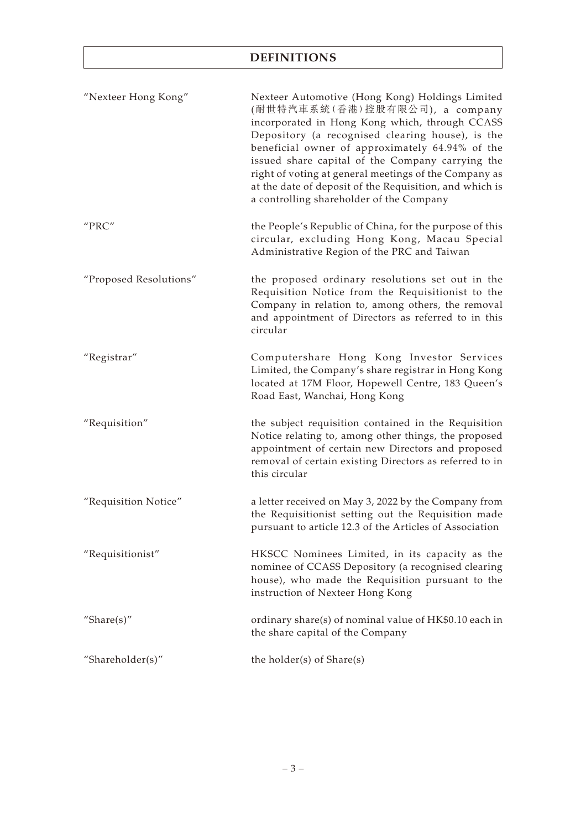# **DEFINITIONS**

| "Nexteer Hong Kong"                     | Nexteer Automotive (Hong Kong) Holdings Limited<br>(耐世特汽車系統(香港)控股有限公司), a company<br>incorporated in Hong Kong which, through CCASS<br>Depository (a recognised clearing house), is the<br>beneficial owner of approximately 64.94% of the<br>issued share capital of the Company carrying the<br>right of voting at general meetings of the Company as<br>at the date of deposit of the Requisition, and which is<br>a controlling shareholder of the Company |
|-----------------------------------------|----------------------------------------------------------------------------------------------------------------------------------------------------------------------------------------------------------------------------------------------------------------------------------------------------------------------------------------------------------------------------------------------------------------------------------------------------------------|
| $^{\prime\prime}$ PRC $^{\prime\prime}$ | the People's Republic of China, for the purpose of this<br>circular, excluding Hong Kong, Macau Special<br>Administrative Region of the PRC and Taiwan                                                                                                                                                                                                                                                                                                         |
| "Proposed Resolutions"                  | the proposed ordinary resolutions set out in the<br>Requisition Notice from the Requisitionist to the<br>Company in relation to, among others, the removal<br>and appointment of Directors as referred to in this<br>circular                                                                                                                                                                                                                                  |
| "Registrar"                             | Computershare Hong Kong Investor Services<br>Limited, the Company's share registrar in Hong Kong<br>located at 17M Floor, Hopewell Centre, 183 Queen's<br>Road East, Wanchai, Hong Kong                                                                                                                                                                                                                                                                        |
| "Requisition"                           | the subject requisition contained in the Requisition<br>Notice relating to, among other things, the proposed<br>appointment of certain new Directors and proposed<br>removal of certain existing Directors as referred to in<br>this circular                                                                                                                                                                                                                  |
| "Requisition Notice"                    | a letter received on May 3, 2022 by the Company from<br>the Requisitionist setting out the Requisition made<br>pursuant to article 12.3 of the Articles of Association                                                                                                                                                                                                                                                                                         |
| "Requisitionist"                        | HKSCC Nominees Limited, in its capacity as the<br>nominee of CCASS Depository (a recognised clearing<br>house), who made the Requisition pursuant to the<br>instruction of Nexteer Hong Kong                                                                                                                                                                                                                                                                   |
| "Share $(s)$ "                          | ordinary share(s) of nominal value of HK\$0.10 each in<br>the share capital of the Company                                                                                                                                                                                                                                                                                                                                                                     |
| "Shareholder(s)"                        | the holder(s) of $Share(s)$                                                                                                                                                                                                                                                                                                                                                                                                                                    |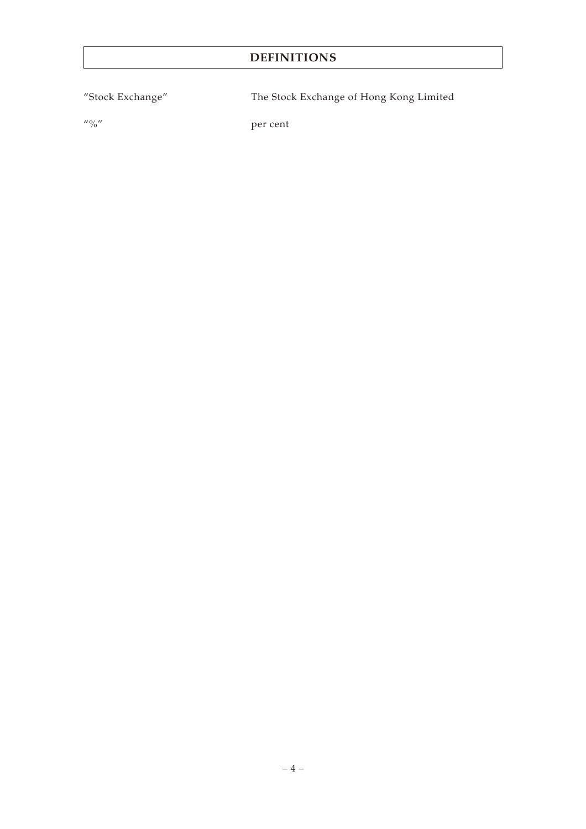# **DEFINITIONS**

"Stock Exchange" The Stock Exchange of Hong Kong Limited

"%" per cent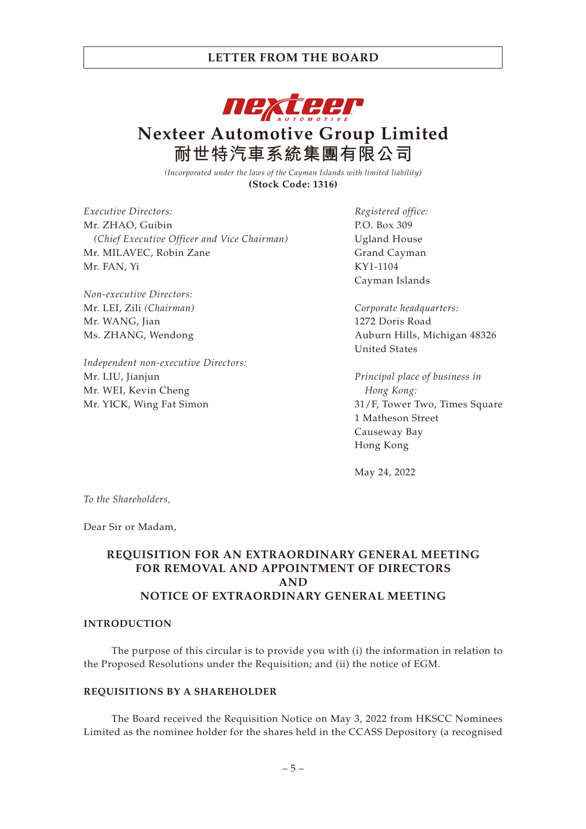

# **Nexteer Automotive Group Limited 耐世特汽車系統集團有限公司**

*(Incorporated under the laws of the Cayman Islands with limited liability)* **(Stock Code: 1316)**

*Executive Directors:* Mr. ZHAO, Guibin *(Chief Executive Officer and Vice Chairman)* Mr. MILAVEC, Robin Zane Mr. FAN, Yi

*Non-executive Directors:* Mr. LEI, Zili *(Chairman)* Mr. WANG, Jian Ms. ZHANG, Wendong

*Independent non-executive Directors:* Mr. LIU, Jianjun Mr. WEI, Kevin Cheng Mr. YICK, Wing Fat Simon

*Registered office:* P.O. Box 309 Ugland House Grand Cayman KY1-1104 Cayman Islands

*Corporate headquarters:* 1272 Doris Road Auburn Hills, Michigan 48326 United States

*Principal place of business in Hong Kong:* 31/F, Tower Two, Times Square 1 Matheson Street Causeway Bay Hong Kong

May 24, 2022

*To the Shareholders,*

Dear Sir or Madam,

## **REQUISITION FOR AN EXTRAORDINARY GENERAL MEETING FOR REMOVAL AND APPOINTMENT OF DIRECTORS AND NOTICE OF EXTRAORDINARY GENERAL MEETING**

#### **INTRODUCTION**

The purpose of this circular is to provide you with (i) the information in relation to the Proposed Resolutions under the Requisition; and (ii) the notice of EGM.

#### **REQUISITIONS BY A SHAREHOLDER**

The Board received the Requisition Notice on May 3, 2022 from HKSCC Nominees Limited as the nominee holder for the shares held in the CCASS Depository (a recognised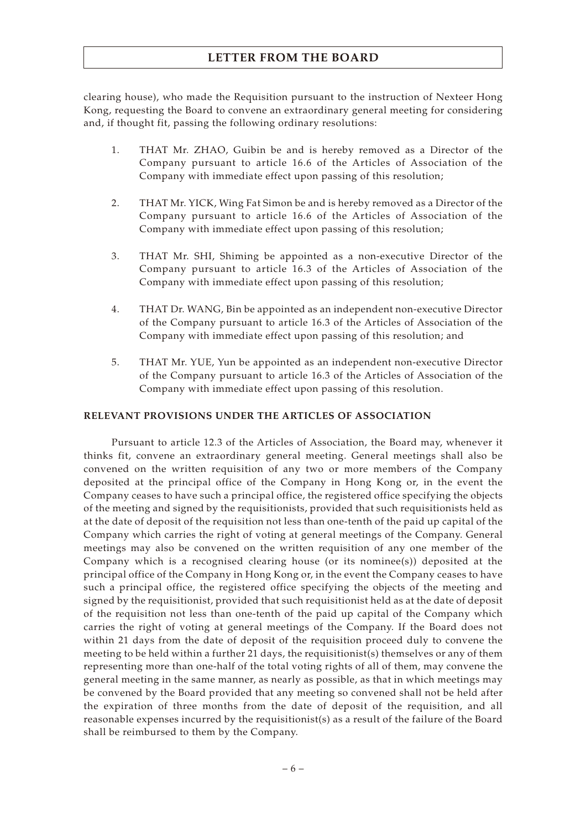clearing house), who made the Requisition pursuant to the instruction of Nexteer Hong Kong, requesting the Board to convene an extraordinary general meeting for considering and, if thought fit, passing the following ordinary resolutions:

- 1. THAT Mr. ZHAO, Guibin be and is hereby removed as a Director of the Company pursuant to article 16.6 of the Articles of Association of the Company with immediate effect upon passing of this resolution;
- 2. THAT Mr. YICK, Wing Fat Simon be and is hereby removed as a Director of the Company pursuant to article 16.6 of the Articles of Association of the Company with immediate effect upon passing of this resolution;
- 3. THAT Mr. SHI, Shiming be appointed as a non-executive Director of the Company pursuant to article 16.3 of the Articles of Association of the Company with immediate effect upon passing of this resolution;
- 4. THAT Dr. WANG, Bin be appointed as an independent non-executive Director of the Company pursuant to article 16.3 of the Articles of Association of the Company with immediate effect upon passing of this resolution; and
- 5. THAT Mr. YUE, Yun be appointed as an independent non-executive Director of the Company pursuant to article 16.3 of the Articles of Association of the Company with immediate effect upon passing of this resolution.

### **RELEVANT PROVISIONS UNDER THE ARTICLES OF ASSOCIATION**

Pursuant to article 12.3 of the Articles of Association, the Board may, whenever it thinks fit, convene an extraordinary general meeting. General meetings shall also be convened on the written requisition of any two or more members of the Company deposited at the principal office of the Company in Hong Kong or, in the event the Company ceases to have such a principal office, the registered office specifying the objects of the meeting and signed by the requisitionists, provided that such requisitionists held as at the date of deposit of the requisition not less than one-tenth of the paid up capital of the Company which carries the right of voting at general meetings of the Company. General meetings may also be convened on the written requisition of any one member of the Company which is a recognised clearing house (or its nominee(s)) deposited at the principal office of the Company in Hong Kong or, in the event the Company ceases to have such a principal office, the registered office specifying the objects of the meeting and signed by the requisitionist, provided that such requisitionist held as at the date of deposit of the requisition not less than one-tenth of the paid up capital of the Company which carries the right of voting at general meetings of the Company. If the Board does not within 21 days from the date of deposit of the requisition proceed duly to convene the meeting to be held within a further 21 days, the requisitionist(s) themselves or any of them representing more than one-half of the total voting rights of all of them, may convene the general meeting in the same manner, as nearly as possible, as that in which meetings may be convened by the Board provided that any meeting so convened shall not be held after the expiration of three months from the date of deposit of the requisition, and all reasonable expenses incurred by the requisitionist(s) as a result of the failure of the Board shall be reimbursed to them by the Company.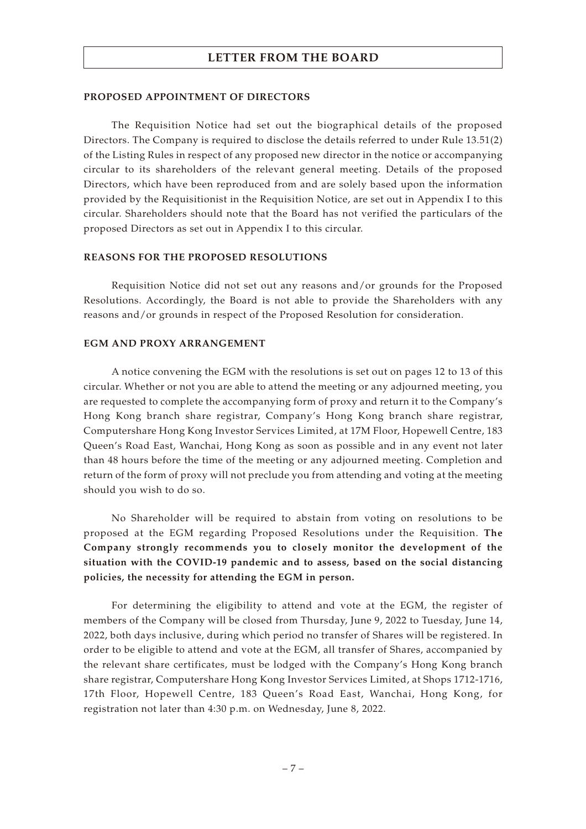#### **PROPOSED APPOINTMENT OF DIRECTORS**

The Requisition Notice had set out the biographical details of the proposed Directors. The Company is required to disclose the details referred to under Rule 13.51(2) of the Listing Rules in respect of any proposed new director in the notice or accompanying circular to its shareholders of the relevant general meeting. Details of the proposed Directors, which have been reproduced from and are solely based upon the information provided by the Requisitionist in the Requisition Notice, are set out in Appendix I to this circular. Shareholders should note that the Board has not verified the particulars of the proposed Directors as set out in Appendix I to this circular.

#### **REASONS FOR THE PROPOSED RESOLUTIONS**

Requisition Notice did not set out any reasons and/or grounds for the Proposed Resolutions. Accordingly, the Board is not able to provide the Shareholders with any reasons and/or grounds in respect of the Proposed Resolution for consideration.

#### **EGM AND PROXY ARRANGEMENT**

A notice convening the EGM with the resolutions is set out on pages 12 to 13 of this circular. Whether or not you are able to attend the meeting or any adjourned meeting, you are requested to complete the accompanying form of proxy and return it to the Company's Hong Kong branch share registrar, Company's Hong Kong branch share registrar, Computershare Hong Kong Investor Services Limited, at 17M Floor, Hopewell Centre, 183 Queen's Road East, Wanchai, Hong Kong as soon as possible and in any event not later than 48 hours before the time of the meeting or any adjourned meeting. Completion and return of the form of proxy will not preclude you from attending and voting at the meeting should you wish to do so.

No Shareholder will be required to abstain from voting on resolutions to be proposed at the EGM regarding Proposed Resolutions under the Requisition. **The Company strongly recommends you to closely monitor the development of the situation with the COVID-19 pandemic and to assess, based on the social distancing policies, the necessity for attending the EGM in person.**

For determining the eligibility to attend and vote at the EGM, the register of members of the Company will be closed from Thursday, June 9, 2022 to Tuesday, June 14, 2022, both days inclusive, during which period no transfer of Shares will be registered. In order to be eligible to attend and vote at the EGM, all transfer of Shares, accompanied by the relevant share certificates, must be lodged with the Company's Hong Kong branch share registrar, Computershare Hong Kong Investor Services Limited, at Shops 1712-1716, 17th Floor, Hopewell Centre, 183 Queen's Road East, Wanchai, Hong Kong, for registration not later than 4:30 p.m. on Wednesday, June 8, 2022.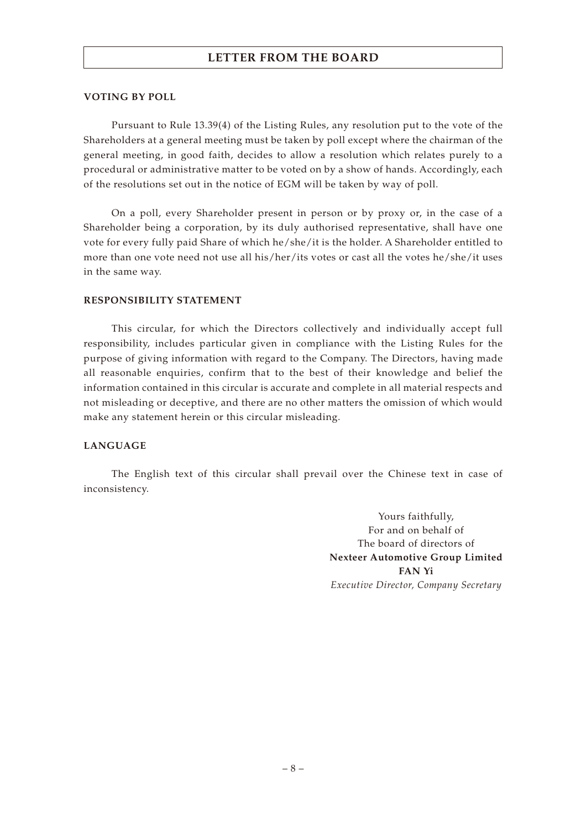#### **VOTING BY POLL**

Pursuant to Rule 13.39(4) of the Listing Rules, any resolution put to the vote of the Shareholders at a general meeting must be taken by poll except where the chairman of the general meeting, in good faith, decides to allow a resolution which relates purely to a procedural or administrative matter to be voted on by a show of hands. Accordingly, each of the resolutions set out in the notice of EGM will be taken by way of poll.

On a poll, every Shareholder present in person or by proxy or, in the case of a Shareholder being a corporation, by its duly authorised representative, shall have one vote for every fully paid Share of which he/she/it is the holder. A Shareholder entitled to more than one vote need not use all his/her/its votes or cast all the votes he/she/it uses in the same way.

#### **RESPONSIBILITY STATEMENT**

This circular, for which the Directors collectively and individually accept full responsibility, includes particular given in compliance with the Listing Rules for the purpose of giving information with regard to the Company. The Directors, having made all reasonable enquiries, confirm that to the best of their knowledge and belief the information contained in this circular is accurate and complete in all material respects and not misleading or deceptive, and there are no other matters the omission of which would make any statement herein or this circular misleading.

## **LANGUAGE**

The English text of this circular shall prevail over the Chinese text in case of inconsistency.

> Yours faithfully, For and on behalf of The board of directors of **Nexteer Automotive Group Limited FAN Yi** *Executive Director, Company Secretary*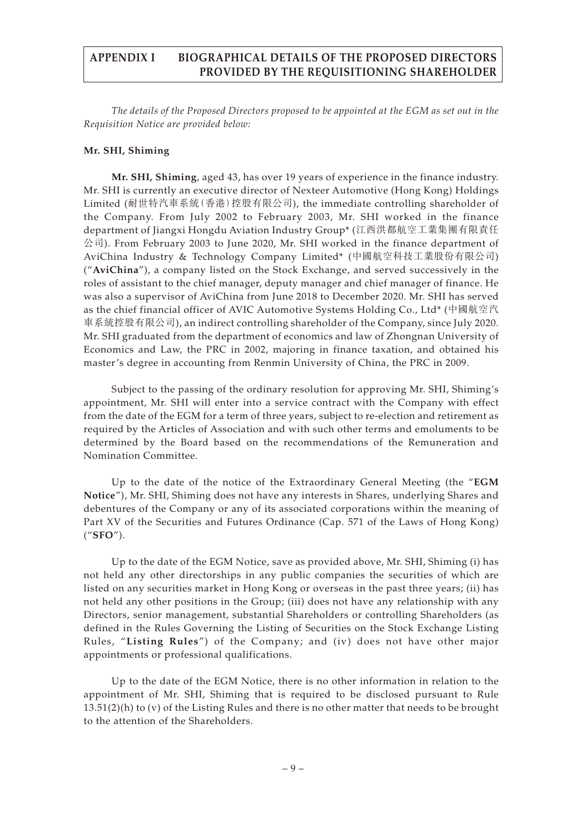## **APPENDIX I BIOGRAPHICAL DETAILS OF THE PROPOSED DIRECTORS PROVIDED BY THE REQUISITIONING SHAREHOLDER**

*The details of the Proposed Directors proposed to be appointed at the EGM as set out in the Requisition Notice are provided below:*

## **Mr. SHI, Shiming**

**Mr. SHI, Shiming**, aged 43, has over 19 years of experience in the finance industry. Mr. SHI is currently an executive director of Nexteer Automotive (Hong Kong) Holdings Limited (耐世特汽車系統(香港)控股有限公司), the immediate controlling shareholder of the Company. From July 2002 to February 2003, Mr. SHI worked in the finance department of Jiangxi Hongdu Aviation Industry Group\* (江西洪都航空工業集團有限責任  $\Diamond$ 司). From February 2003 to June 2020, Mr. SHI worked in the finance department of AviChina Industry & Technology Company Limited\* (中國航空科技工業股份有限公司) ("**AviChina**"), a company listed on the Stock Exchange, and served successively in the roles of assistant to the chief manager, deputy manager and chief manager of finance. He was also a supervisor of AviChina from June 2018 to December 2020. Mr. SHI has served as the chief financial officer of AVIC Automotive Systems Holding Co., Ltd\* (中國航空汽 車系統控股有限公司), an indirect controlling shareholder of the Company, since July 2020. Mr. SHI graduated from the department of economics and law of Zhongnan University of Economics and Law, the PRC in 2002, majoring in finance taxation, and obtained his master's degree in accounting from Renmin University of China, the PRC in 2009.

Subject to the passing of the ordinary resolution for approving Mr. SHI, Shiming's appointment, Mr. SHI will enter into a service contract with the Company with effect from the date of the EGM for a term of three years, subject to re-election and retirement as required by the Articles of Association and with such other terms and emoluments to be determined by the Board based on the recommendations of the Remuneration and Nomination Committee.

Up to the date of the notice of the Extraordinary General Meeting (the "**EGM Notice**"), Mr. SHI, Shiming does not have any interests in Shares, underlying Shares and debentures of the Company or any of its associated corporations within the meaning of Part XV of the Securities and Futures Ordinance (Cap. 571 of the Laws of Hong Kong) ("**SFO**").

Up to the date of the EGM Notice, save as provided above, Mr. SHI, Shiming (i) has not held any other directorships in any public companies the securities of which are listed on any securities market in Hong Kong or overseas in the past three years; (ii) has not held any other positions in the Group; (iii) does not have any relationship with any Directors, senior management, substantial Shareholders or controlling Shareholders (as defined in the Rules Governing the Listing of Securities on the Stock Exchange Listing Rules, "**Listing Rules**") of the Company; and (iv) does not have other major appointments or professional qualifications.

Up to the date of the EGM Notice, there is no other information in relation to the appointment of Mr. SHI, Shiming that is required to be disclosed pursuant to Rule  $13.51(2)(h)$  to (v) of the Listing Rules and there is no other matter that needs to be brought to the attention of the Shareholders.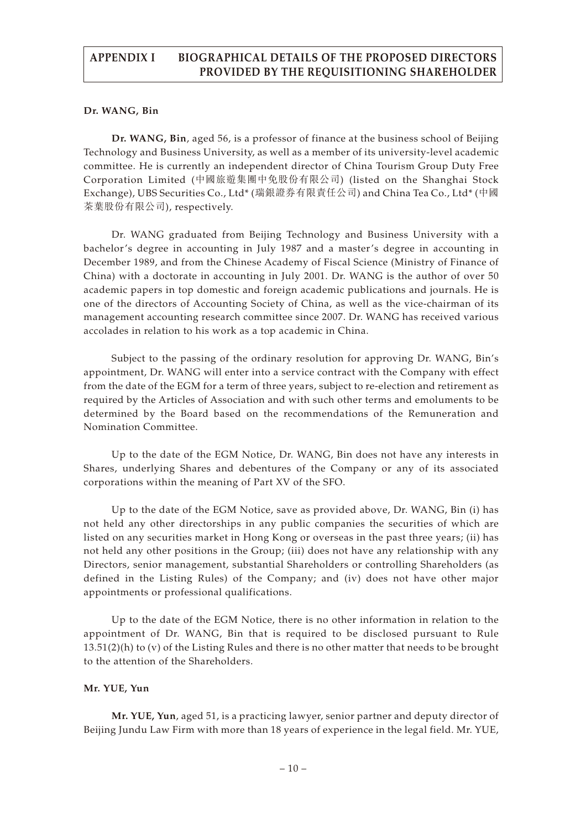## **APPENDIX I BIOGRAPHICAL DETAILS OF THE PROPOSED DIRECTORS PROVIDED BY THE REQUISITIONING SHAREHOLDER**

## **Dr. WANG, Bin**

**Dr. WANG, Bin**, aged 56, is a professor of finance at the business school of Beijing Technology and Business University, as well as a member of its university-level academic committee. He is currently an independent director of China Tourism Group Duty Free Corporation Limited (中國旅遊集團中免股份有限公司) (listed on the Shanghai Stock Exchange), UBS Securities Co., Ltd\* (瑞銀證券有限責任公司) and China Tea Co., Ltd\* (中國 茶葉股份有限公司), respectively.

Dr. WANG graduated from Beijing Technology and Business University with a bachelor's degree in accounting in July 1987 and a master's degree in accounting in December 1989, and from the Chinese Academy of Fiscal Science (Ministry of Finance of China) with a doctorate in accounting in July 2001. Dr. WANG is the author of over 50 academic papers in top domestic and foreign academic publications and journals. He is one of the directors of Accounting Society of China, as well as the vice-chairman of its management accounting research committee since 2007. Dr. WANG has received various accolades in relation to his work as a top academic in China.

Subject to the passing of the ordinary resolution for approving Dr. WANG, Bin's appointment, Dr. WANG will enter into a service contract with the Company with effect from the date of the EGM for a term of three years, subject to re-election and retirement as required by the Articles of Association and with such other terms and emoluments to be determined by the Board based on the recommendations of the Remuneration and Nomination Committee.

Up to the date of the EGM Notice, Dr. WANG, Bin does not have any interests in Shares, underlying Shares and debentures of the Company or any of its associated corporations within the meaning of Part XV of the SFO.

Up to the date of the EGM Notice, save as provided above, Dr. WANG, Bin (i) has not held any other directorships in any public companies the securities of which are listed on any securities market in Hong Kong or overseas in the past three years; (ii) has not held any other positions in the Group; (iii) does not have any relationship with any Directors, senior management, substantial Shareholders or controlling Shareholders (as defined in the Listing Rules) of the Company; and (iv) does not have other major appointments or professional qualifications.

Up to the date of the EGM Notice, there is no other information in relation to the appointment of Dr. WANG, Bin that is required to be disclosed pursuant to Rule 13.51(2)(h) to (v) of the Listing Rules and there is no other matter that needs to be brought to the attention of the Shareholders.

## **Mr. YUE, Yun**

**Mr. YUE, Yun**, aged 51, is a practicing lawyer, senior partner and deputy director of Beijing Jundu Law Firm with more than 18 years of experience in the legal field. Mr. YUE,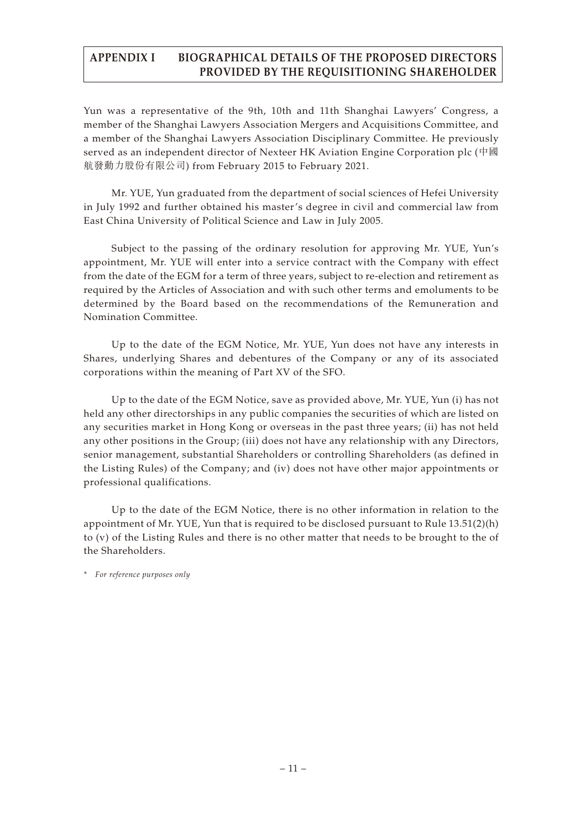# **APPENDIX I BIOGRAPHICAL DETAILS OF THE PROPOSED DIRECTORS PROVIDED BY THE REQUISITIONING SHAREHOLDER**

Yun was a representative of the 9th, 10th and 11th Shanghai Lawyers' Congress, a member of the Shanghai Lawyers Association Mergers and Acquisitions Committee, and a member of the Shanghai Lawyers Association Disciplinary Committee. He previously served as an independent director of Nexteer HK Aviation Engine Corporation plc (中國 航發動力股份有限公司) from February 2015 to February 2021.

Mr. YUE, Yun graduated from the department of social sciences of Hefei University in July 1992 and further obtained his master's degree in civil and commercial law from East China University of Political Science and Law in July 2005.

Subject to the passing of the ordinary resolution for approving Mr. YUE, Yun's appointment, Mr. YUE will enter into a service contract with the Company with effect from the date of the EGM for a term of three years, subject to re-election and retirement as required by the Articles of Association and with such other terms and emoluments to be determined by the Board based on the recommendations of the Remuneration and Nomination Committee.

Up to the date of the EGM Notice, Mr. YUE, Yun does not have any interests in Shares, underlying Shares and debentures of the Company or any of its associated corporations within the meaning of Part XV of the SFO.

Up to the date of the EGM Notice, save as provided above, Mr. YUE, Yun (i) has not held any other directorships in any public companies the securities of which are listed on any securities market in Hong Kong or overseas in the past three years; (ii) has not held any other positions in the Group; (iii) does not have any relationship with any Directors, senior management, substantial Shareholders or controlling Shareholders (as defined in the Listing Rules) of the Company; and (iv) does not have other major appointments or professional qualifications.

Up to the date of the EGM Notice, there is no other information in relation to the appointment of Mr. YUE, Yun that is required to be disclosed pursuant to Rule  $13.51(2)(h)$ to (v) of the Listing Rules and there is no other matter that needs to be brought to the of the Shareholders.

*\* For reference purposes only*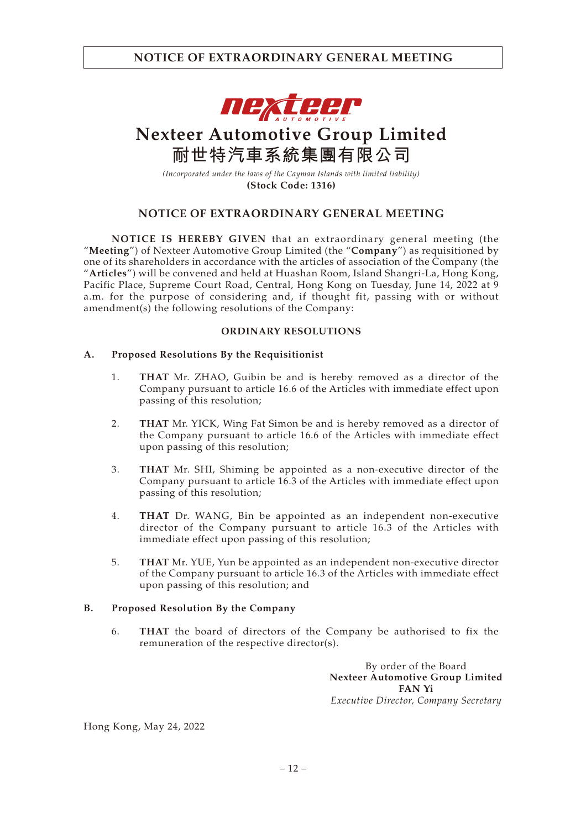

# **Nexteer Automotive Group Limited 耐世特汽車系統集團有限公司**

*(Incorporated under the laws of the Cayman Islands with limited liability)* **(Stock Code: 1316)**

## **NOTICE OF EXTRAORDINARY GENERAL MEETING**

**NOTICE IS HEREBY GIVEN** that an extraordinary general meeting (the "**Meeting**") of Nexteer Automotive Group Limited (the "**Company**") as requisitioned by one of its shareholders in accordance with the articles of association of the Company (the "**Articles**") will be convened and held at Huashan Room, Island Shangri-La, Hong Kong, Pacific Place, Supreme Court Road, Central, Hong Kong on Tuesday, June 14, 2022 at 9 a.m. for the purpose of considering and, if thought fit, passing with or without amendment(s) the following resolutions of the Company:

#### **ORDINARY RESOLUTIONS**

#### **A. Proposed Resolutions By the Requisitionist**

- 1. **THAT** Mr. ZHAO, Guibin be and is hereby removed as a director of the Company pursuant to article 16.6 of the Articles with immediate effect upon passing of this resolution;
- 2. **THAT** Mr. YICK, Wing Fat Simon be and is hereby removed as a director of the Company pursuant to article 16.6 of the Articles with immediate effect upon passing of this resolution;
- 3. **THAT** Mr. SHI, Shiming be appointed as a non-executive director of the Company pursuant to article 16.3 of the Articles with immediate effect upon passing of this resolution;
- 4. **THAT** Dr. WANG, Bin be appointed as an independent non-executive director of the Company pursuant to article 16.3 of the Articles with immediate effect upon passing of this resolution;
- 5. **THAT** Mr. YUE, Yun be appointed as an independent non-executive director of the Company pursuant to article 16.3 of the Articles with immediate effect upon passing of this resolution; and

## **B. Proposed Resolution By the Company**

6. **THAT** the board of directors of the Company be authorised to fix the remuneration of the respective director(s).

> By order of the Board **Nexteer Automotive Group Limited FAN Yi** *Executive Director, Company Secretary*

Hong Kong, May 24, 2022